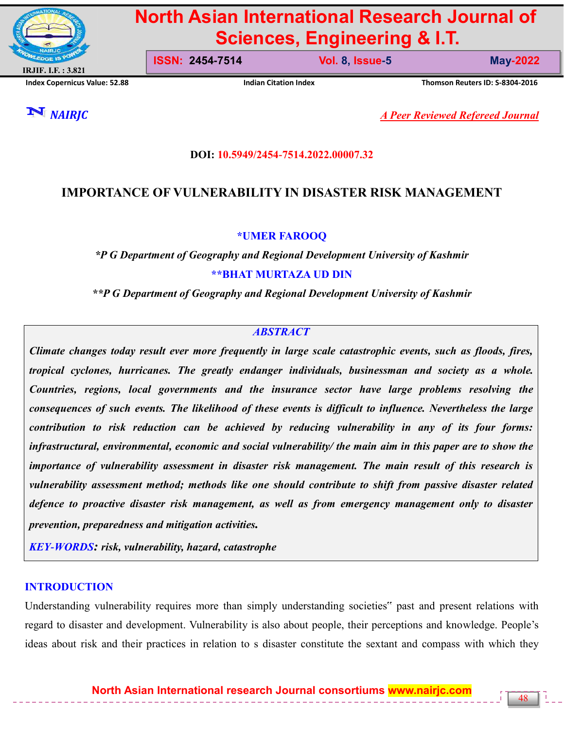

# **North Asian International Research Journal of Sciences, Engineering & I.T.**

**Index Copernicus Value: 52.88 Indian Citation Index Thomson Reuters ID: S-8304-2016**

**ISSN: 2454-7514 Vol. 8, Issue-5 May-2022**

48

*NAIRJC A Peer Reviewed Refereed Journal*

## **DOI: 10.5949/2454-7514.2022.00007.32**

# **IMPORTANCE OF VULNERABILITY IN DISASTER RISK MANAGEMENT**

#### **\*UMER FAROOQ**

*\*P G Department of Geography and Regional Development University of Kashmir* **\*\*BHAT MURTAZA UD DIN**

*\*\*P G Department of Geography and Regional Development University of Kashmir*

#### *ABSTRACT*

*Climate changes today result ever more frequently in large scale catastrophic events, such as floods, fires, tropical cyclones, hurricanes. The greatly endanger individuals, businessman and society as a whole. Countries, regions, local governments and the insurance sector have large problems resolving the consequences of such events. The likelihood of these events is difficult to influence. Nevertheless the large contribution to risk reduction can be achieved by reducing vulnerability in any of its four forms: infrastructural, environmental, economic and social vulnerability/ the main aim in this paper are to show the importance of vulnerability assessment in disaster risk management. The main result of this research is vulnerability assessment method; methods like one should contribute to shift from passive disaster related defence to proactive disaster risk management, as well as from emergency management only to disaster prevention, preparedness and mitigation activities.*

*KEY-WORDS: risk, vulnerability, hazard, catastrophe*

## **INTRODUCTION**

Understanding vulnerability requires more than simply understanding societies" past and present relations with regard to disaster and development. Vulnerability is also about people, their perceptions and knowledge. People's ideas about risk and their practices in relation to s disaster constitute the sextant and compass with which they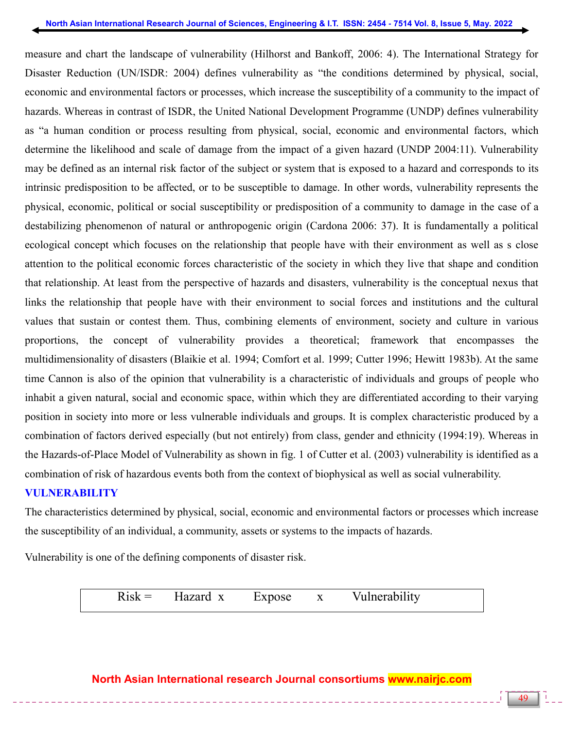measure and chart the landscape of vulnerability (Hilhorst and Bankoff, 2006: 4). The International Strategy for Disaster Reduction (UN/ISDR: 2004) defines vulnerability as "the conditions determined by physical, social, economic and environmental factors or processes, which increase the susceptibility of a community to the impact of hazards. Whereas in contrast of ISDR, the United National Development Programme (UNDP) defines vulnerability as "a human condition or process resulting from physical, social, economic and environmental factors, which determine the likelihood and scale of damage from the impact of a given hazard (UNDP 2004:11). Vulnerability may be defined as an internal risk factor of the subject or system that is exposed to a hazard and corresponds to its intrinsic predisposition to be affected, or to be susceptible to damage. In other words, vulnerability represents the physical, economic, political or social susceptibility or predisposition of a community to damage in the case of a destabilizing phenomenon of natural or anthropogenic origin (Cardona 2006: 37). It is fundamentally a political ecological concept which focuses on the relationship that people have with their environment as well as s close attention to the political economic forces characteristic of the society in which they live that shape and condition that relationship. At least from the perspective of hazards and disasters, vulnerability is the conceptual nexus that links the relationship that people have with their environment to social forces and institutions and the cultural values that sustain or contest them. Thus, combining elements of environment, society and culture in various proportions, the concept of vulnerability provides a theoretical; framework that encompasses the multidimensionality of disasters (Blaikie et al. 1994; Comfort et al. 1999; Cutter 1996; Hewitt 1983b). At the same time Cannon is also of the opinion that vulnerability is a characteristic of individuals and groups of people who inhabit a given natural, social and economic space, within which they are differentiated according to their varying position in society into more or less vulnerable individuals and groups. It is complex characteristic produced by a combination of factors derived especially (but not entirely) from class, gender and ethnicity (1994:19). Whereas in the Hazards-of-Place Model of Vulnerability as shown in fig. 1 of Cutter et al. (2003) vulnerability is identified as a combination of risk of hazardous events both from the context of biophysical as well as social vulnerability.

## **VULNERABILITY**

The characteristics determined by physical, social, economic and environmental factors or processes which increase the susceptibility of an individual, a community, assets or systems to the impacts of hazards.

Vulnerability is one of the defining components of disaster risk.

 $Risk =$  Hazard x Expose x Vulnerability

# **North Asian International research Journal consortiums www.nairjc.com**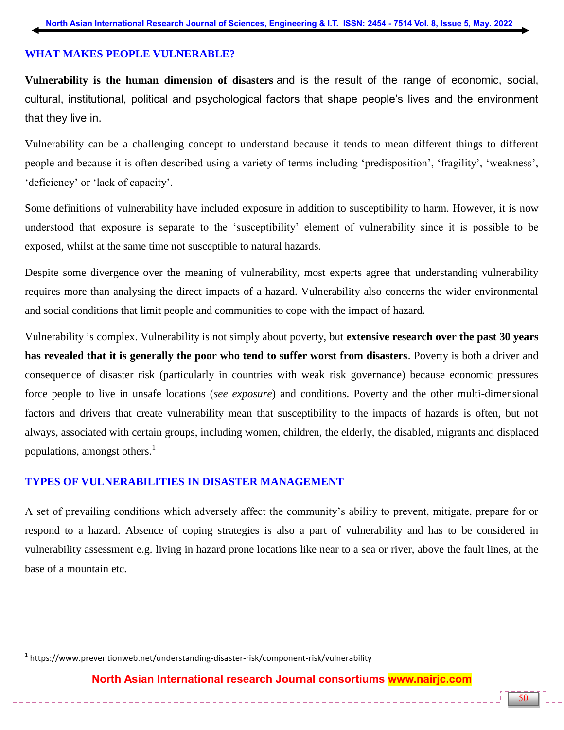## **WHAT MAKES PEOPLE VULNERABLE?**

**Vulnerability is the human dimension of disasters** and is the result of the range of economic, social, cultural, institutional, political and psychological factors that shape people's lives and the environment that they live in.

Vulnerability can be a challenging concept to understand because it tends to mean different things to different people and because it is often described using a variety of terms including 'predisposition', 'fragility', 'weakness', 'deficiency' or 'lack of capacity'.

Some definitions of vulnerability have included exposure in addition to susceptibility to harm. However, it is now understood that exposure is separate to the 'susceptibility' element of vulnerability since it is possible to be exposed, whilst at the same time not susceptible to natural hazards.

Despite some divergence over the meaning of vulnerability, most experts agree that understanding vulnerability requires more than analysing the direct impacts of a hazard. Vulnerability also concerns the wider environmental and social conditions that limit people and communities to cope with the impact of hazard.

Vulnerability is complex. Vulnerability is not simply about poverty, but **extensive research over the past 30 years has revealed that it is generally the poor who tend to suffer worst from disasters**. Poverty is both a driver and consequence of disaster risk (particularly in countries with weak risk governance) because economic pressures force people to live in unsafe locations (*see exposure*) and conditions. Poverty and the other multi-dimensional factors and drivers that create vulnerability mean that susceptibility to the impacts of hazards is often, but not always, associated with certain groups, including women, children, the elderly, the disabled, migrants and displaced populations, amongst others.<sup>1</sup>

## **TYPES OF VULNERABILITIES IN DISASTER MANAGEMENT**

A set of prevailing conditions which adversely affect the community's ability to prevent, mitigate, prepare for or respond to a hazard. Absence of coping strategies is also a part of vulnerability and has to be considered in vulnerability assessment e.g. living in hazard prone locations like near to a sea or river, above the fault lines, at the base of a mountain etc.

 $\overline{a}$ 

<sup>&</sup>lt;sup>1</sup> https://www.preventionweb.net/understanding-disaster-risk/component-risk/vulnerability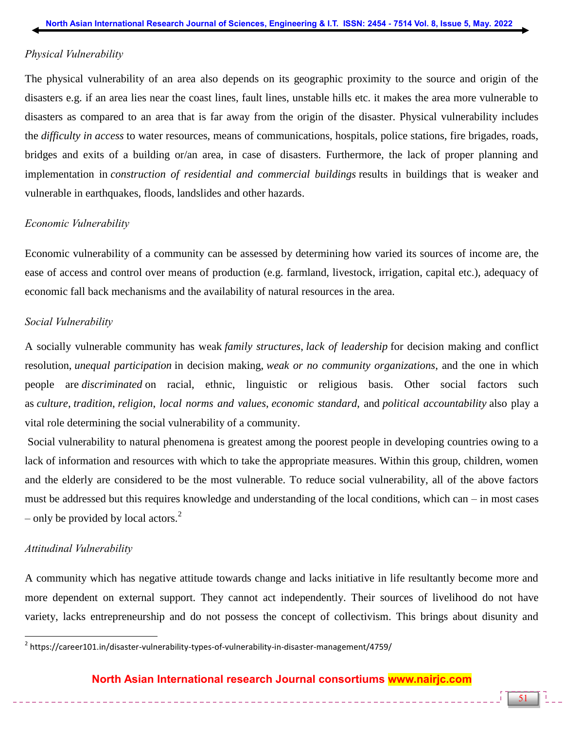#### *Physical Vulnerability*

The physical vulnerability of an area also depends on its geographic proximity to the source and origin of the disasters e.g. if an area lies near the coast lines, fault lines, unstable hills etc. it makes the area more vulnerable to disasters as compared to an area that is far away from the origin of the disaster. Physical vulnerability includes the *difficulty in access* to water resources, means of communications, hospitals, police stations, fire brigades, roads, bridges and exits of a building or/an area, in case of disasters. Furthermore, the lack of proper planning and implementation in *construction of residential and commercial buildings* results in buildings that is weaker and vulnerable in earthquakes, floods, landslides and other hazards.

#### *Economic Vulnerability*

Economic vulnerability of a community can be assessed by determining how varied its sources of income are, the ease of access and control over means of production (e.g. farmland, livestock, irrigation, capital etc.), adequacy of economic fall back mechanisms and the availability of natural resources in the area.

#### *Social Vulnerability*

A socially vulnerable community has weak *family structures*, *lack of leadership* for decision making and conflict resolution, *unequal participation* in decision making, *weak or no community organizations*, and the one in which people are *discriminated* on racial, ethnic, linguistic or religious basis. Other social factors such as *culture*, *tradition*, *religion*, *local norms and values*, *economic standard*, and *political accountability* also play a vital role determining the social vulnerability of a community.

Social vulnerability to natural phenomena is greatest among the poorest people in developing countries owing to a lack of information and resources with which to take the appropriate measures. Within this group, children, women and the elderly are considered to be the most vulnerable. To reduce social vulnerability, all of the above factors must be addressed but this requires knowledge and understanding of the local conditions, which can – in most cases – only be provided by local actors.<sup>2</sup>

#### *Attitudinal Vulnerability*

A community which has negative attitude towards change and lacks initiative in life resultantly become more and more dependent on external support. They cannot act independently. Their sources of livelihood do not have variety, lacks entrepreneurship and do not possess the concept of collectivism. This brings about disunity and

## **North Asian International research Journal consortiums www.nairjc.com**

\_\_\_\_\_\_\_\_\_\_\_\_\_\_\_\_\_\_\_\_\_\_\_\_\_\_\_\_\_

 2 https://career101.in/disaster-vulnerability-types-of-vulnerability-in-disaster-management/4759/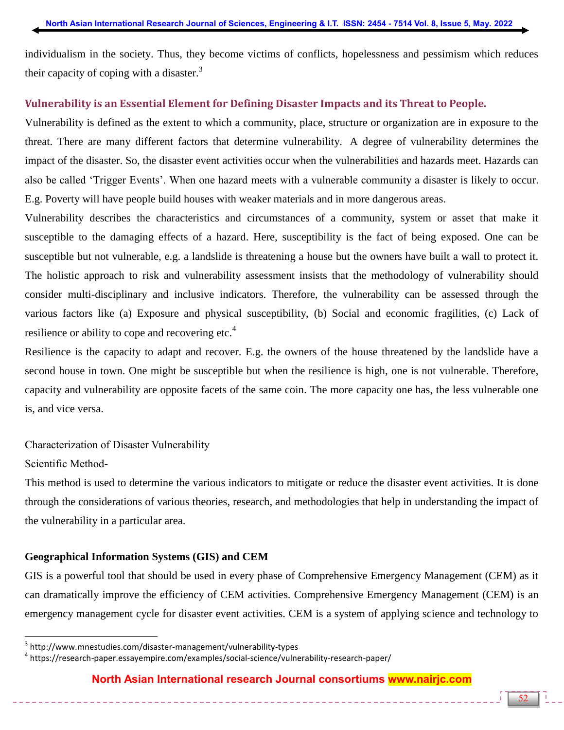individualism in the society. Thus, they become victims of conflicts, hopelessness and pessimism which reduces their capacity of coping with a disaster. $3$ 

## **Vulnerability is an Essential Element for Defining Disaster Impacts and its Threat to People.**

Vulnerability is defined as the extent to which a community, place, structure or organization are in exposure to the threat. There are many different factors that determine vulnerability. A degree of vulnerability determines the impact of the disaster. So, the disaster event activities occur when the vulnerabilities and hazards meet. Hazards can also be called 'Trigger Events'. When one hazard meets with a vulnerable community a disaster is likely to occur. E.g. Poverty will have people build houses with weaker materials and in more dangerous areas.

Vulnerability describes the characteristics and circumstances of a community, system or asset that make it susceptible to the damaging effects of a hazard. Here, susceptibility is the fact of being exposed. One can be susceptible but not vulnerable, e.g. a landslide is threatening a house but the owners have built a wall to protect it. The holistic approach to risk and vulnerability assessment insists that the methodology of vulnerability should consider multi-disciplinary and inclusive indicators. Therefore, the vulnerability can be assessed through the various factors like (a) Exposure and physical susceptibility, (b) Social and economic fragilities, (c) Lack of resilience or ability to cope and recovering etc.<sup>4</sup>

Resilience is the capacity to adapt and recover. E.g. the owners of the house threatened by the landslide have a second house in town. One might be susceptible but when the resilience is high, one is not vulnerable. Therefore, capacity and vulnerability are opposite facets of the same coin. The more capacity one has, the less vulnerable one is, and vice versa.

## Characterization of Disaster Vulnerability

## Scientific Method-

 $\overline{a}$ 

This method is used to determine the various indicators to mitigate or reduce the disaster event activities. It is done through the considerations of various theories, research, and methodologies that help in understanding the impact of the vulnerability in a particular area.

## **Geographical Information Systems (GIS) and CEM**

GIS is a powerful tool that should be used in every phase of Comprehensive Emergency Management (CEM) as it can dramatically improve the efficiency of CEM activities. Comprehensive Emergency Management (CEM) is an emergency management cycle for disaster event activities. CEM is a system of applying science and technology to

## **North Asian International research Journal consortiums www.nairjc.com**

<sup>3</sup> http://www.mnestudies.com/disaster-management/vulnerability-types

<sup>4</sup> https://research-paper.essayempire.com/examples/social-science/vulnerability-research-paper/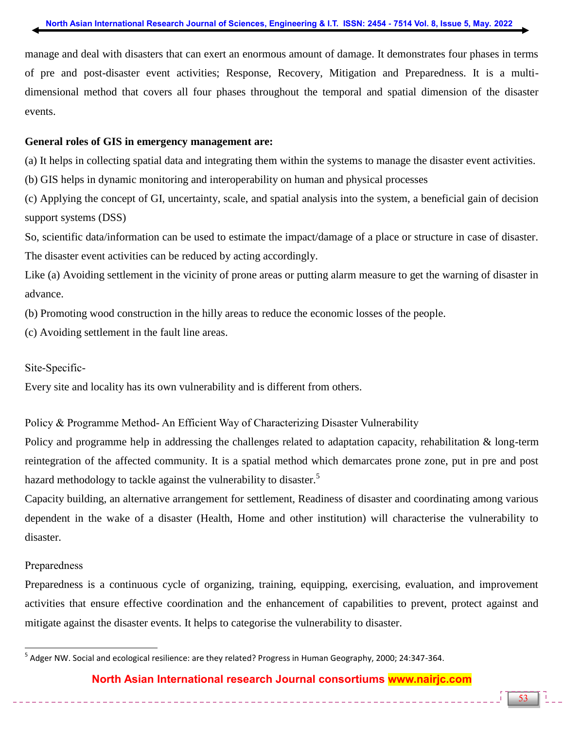manage and deal with disasters that can exert an enormous amount of damage. It demonstrates four phases in terms of pre and post-disaster event activities; Response, Recovery, Mitigation and Preparedness. It is a multidimensional method that covers all four phases throughout the temporal and spatial dimension of the disaster events.

#### **General roles of GIS in emergency management are:**

(a) It helps in collecting spatial data and integrating them within the systems to manage the disaster event activities.

(b) GIS helps in dynamic monitoring and interoperability on human and physical processes

(c) Applying the concept of GI, uncertainty, scale, and spatial analysis into the system, a beneficial gain of decision support systems (DSS)

So, scientific data/information can be used to estimate the impact/damage of a place or structure in case of disaster. The disaster event activities can be reduced by acting accordingly.

Like (a) Avoiding settlement in the vicinity of prone areas or putting alarm measure to get the warning of disaster in advance.

(b) Promoting wood construction in the hilly areas to reduce the economic losses of the people.

(c) Avoiding settlement in the fault line areas.

Site-Specific-

Every site and locality has its own vulnerability and is different from others.

Policy & Programme Method- An Efficient Way of Characterizing Disaster Vulnerability

Policy and programme help in addressing the challenges related to adaptation capacity, rehabilitation & long-term reintegration of the affected community. It is a spatial method which demarcates prone zone, put in pre and post hazard methodology to tackle against the vulnerability to disaster.<sup>5</sup>

Capacity building, an alternative arrangement for settlement, Readiness of disaster and coordinating among various dependent in the wake of a disaster (Health, Home and other institution) will characterise the vulnerability to disaster.

#### Preparedness

Preparedness is a continuous cycle of organizing, training, equipping, exercising, evaluation, and improvement activities that ensure effective coordination and the enhancement of capabilities to prevent, protect against and mitigate against the disaster events. It helps to categorise the vulnerability to disaster.

**North Asian International research Journal consortiums www.nairjc.com**

 5 Adger NW. Social and ecological resilience: are they related? Progress in Human Geography, 2000; 24:347-364.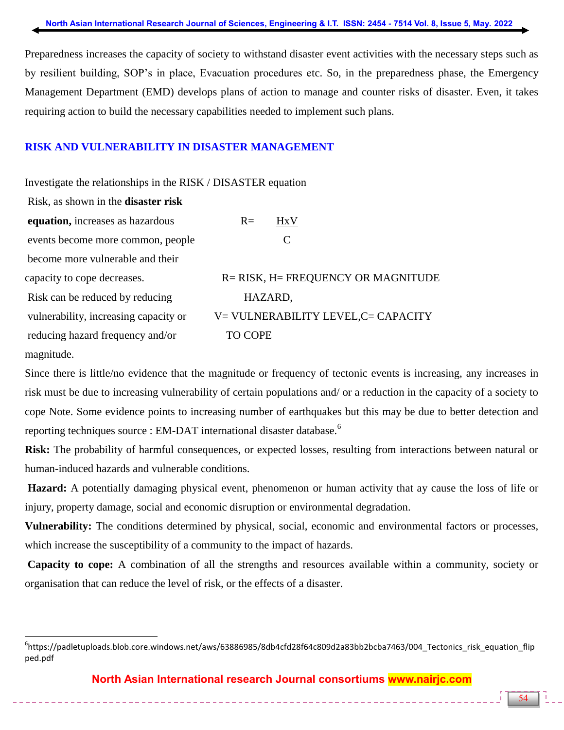Preparedness increases the capacity of society to withstand disaster event activities with the necessary steps such as by resilient building, SOP's in place, Evacuation procedures etc. So, in the preparedness phase, the Emergency Management Department (EMD) develops plans of action to manage and counter risks of disaster. Even, it takes requiring action to build the necessary capabilities needed to implement such plans.

## **RISK AND VULNERABILITY IN DISASTER MANAGEMENT**

Investigate the relationships in the RISK / DISASTER equation

| Risk, as shown in the <b>disaster risk</b> |                                     |
|--------------------------------------------|-------------------------------------|
| equation, increases as hazardous           | $R=$<br><b>HxV</b>                  |
| events become more common, people          | C                                   |
| become more vulnerable and their           |                                     |
| capacity to cope decreases.                | R= RISK, H= FREQUENCY OR MAGNITUDE  |
| Risk can be reduced by reducing            | HAZARD,                             |
| vulnerability, increasing capacity or      | V= VULNERABILITY LEVEL, C= CAPACITY |
| reducing hazard frequency and/or           | <b>TO COPE</b>                      |
|                                            |                                     |

magnitude.

 $\overline{a}$ 

Since there is little/no evidence that the magnitude or frequency of tectonic events is increasing, any increases in risk must be due to increasing vulnerability of certain populations and/ or a reduction in the capacity of a society to cope Note. Some evidence points to increasing number of earthquakes but this may be due to better detection and reporting techniques source : EM-DAT international disaster database.<sup>6</sup>

**Risk:** The probability of harmful consequences, or expected losses, resulting from interactions between natural or human-induced hazards and vulnerable conditions.

**Hazard:** A potentially damaging physical event, phenomenon or human activity that ay cause the loss of life or injury, property damage, social and economic disruption or environmental degradation.

**Vulnerability:** The conditions determined by physical, social, economic and environmental factors or processes, which increase the susceptibility of a community to the impact of hazards.

**Capacity to cope:** A combination of all the strengths and resources available within a community, society or organisation that can reduce the level of risk, or the effects of a disaster.

<sup>6</sup> https://padletuploads.blob.core.windows.net/aws/63886985/8db4cfd28f64c809d2a83bb2bcba7463/004\_Tectonics\_risk\_equation\_flip ped.pdf